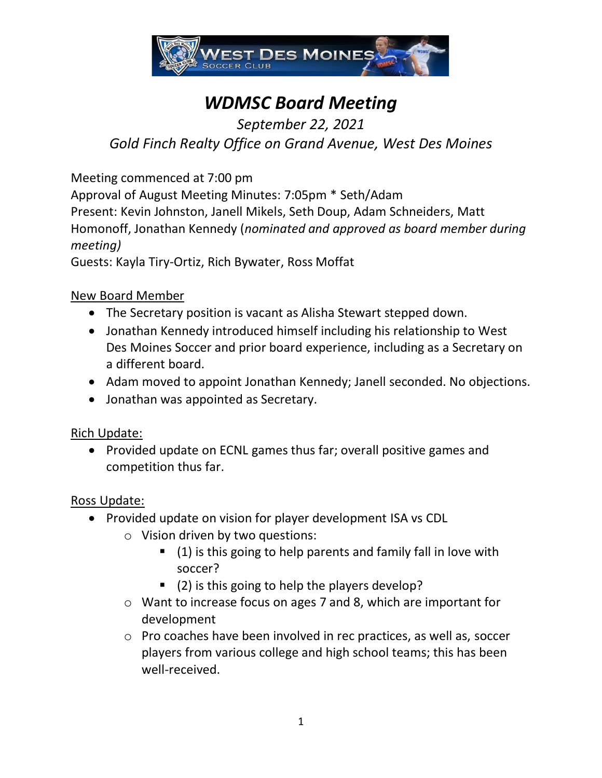

# *WDMSC Board Meeting*

# *September 22, 2021 Gold Finch Realty Office on Grand Avenue, West Des Moines*

Meeting commenced at 7:00 pm

Approval of August Meeting Minutes: 7:05pm \* Seth/Adam Present: Kevin Johnston, Janell Mikels, Seth Doup, Adam Schneiders, Matt Homonoff, Jonathan Kennedy (*nominated and approved as board member during meeting)*

Guests: Kayla Tiry-Ortiz, Rich Bywater, Ross Moffat

### New Board Member

- The Secretary position is vacant as Alisha Stewart stepped down.
- Jonathan Kennedy introduced himself including his relationship to West Des Moines Soccer and prior board experience, including as a Secretary on a different board.
- Adam moved to appoint Jonathan Kennedy; Janell seconded. No objections.
- Jonathan was appointed as Secretary.

### Rich Update:

• Provided update on ECNL games thus far; overall positive games and competition thus far.

### Ross Update:

- Provided update on vision for player development ISA vs CDL
	- o Vision driven by two questions:
		- (1) is this going to help parents and family fall in love with soccer?
		- (2) is this going to help the players develop?
	- o Want to increase focus on ages 7 and 8, which are important for development
	- o Pro coaches have been involved in rec practices, as well as, soccer players from various college and high school teams; this has been well-received.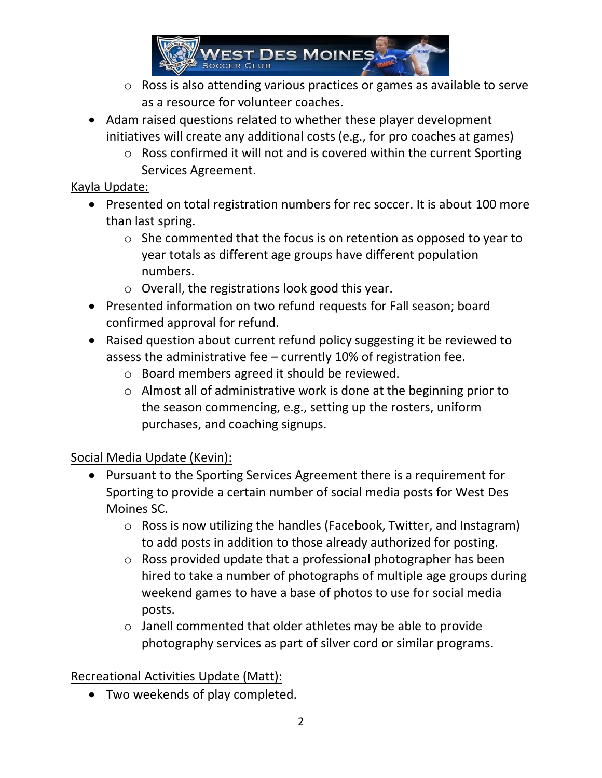

- o Ross is also attending various practices or games as available to serve as a resource for volunteer coaches.
- Adam raised questions related to whether these player development initiatives will create any additional costs (e.g., for pro coaches at games)
	- o Ross confirmed it will not and is covered within the current Sporting Services Agreement.

## Kayla Update:

- Presented on total registration numbers for rec soccer. It is about 100 more than last spring.
	- o She commented that the focus is on retention as opposed to year to year totals as different age groups have different population numbers.
	- o Overall, the registrations look good this year.
- Presented information on two refund requests for Fall season; board confirmed approval for refund.
- Raised question about current refund policy suggesting it be reviewed to assess the administrative fee – currently 10% of registration fee.
	- o Board members agreed it should be reviewed.
	- o Almost all of administrative work is done at the beginning prior to the season commencing, e.g., setting up the rosters, uniform purchases, and coaching signups.

# Social Media Update (Kevin):

- Pursuant to the Sporting Services Agreement there is a requirement for Sporting to provide a certain number of social media posts for West Des Moines SC.
	- o Ross is now utilizing the handles (Facebook, Twitter, and Instagram) to add posts in addition to those already authorized for posting.
	- o Ross provided update that a professional photographer has been hired to take a number of photographs of multiple age groups during weekend games to have a base of photos to use for social media posts.
	- o Janell commented that older athletes may be able to provide photography services as part of silver cord or similar programs.

# Recreational Activities Update (Matt):

• Two weekends of play completed.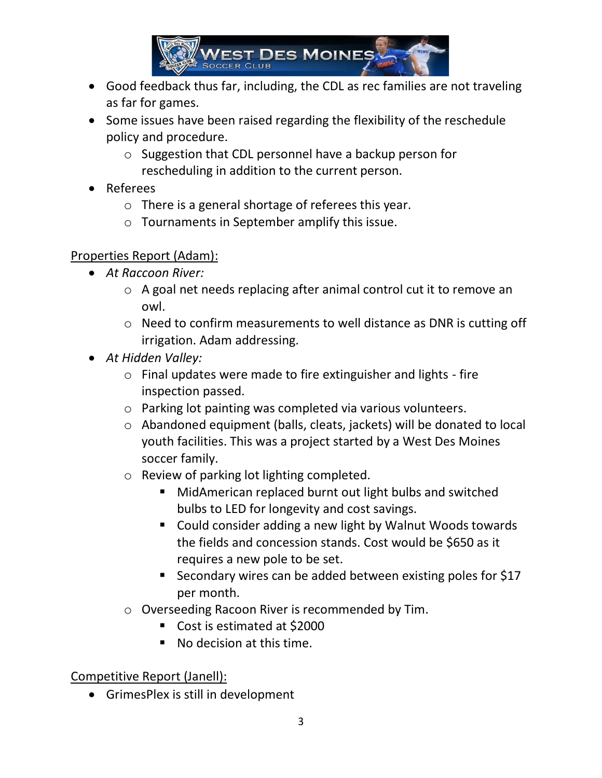

- Good feedback thus far, including, the CDL as rec families are not traveling as far for games.
- Some issues have been raised regarding the flexibility of the reschedule policy and procedure.
	- o Suggestion that CDL personnel have a backup person for rescheduling in addition to the current person.
- Referees
	- o There is a general shortage of referees this year.
	- o Tournaments in September amplify this issue.

## Properties Report (Adam):

- *At Raccoon River:*
	- o A goal net needs replacing after animal control cut it to remove an owl.
	- o Need to confirm measurements to well distance as DNR is cutting off irrigation. Adam addressing.
- *At Hidden Valley:* 
	- o Final updates were made to fire extinguisher and lights fire inspection passed.
	- o Parking lot painting was completed via various volunteers.
	- o Abandoned equipment (balls, cleats, jackets) will be donated to local youth facilities. This was a project started by a West Des Moines soccer family.
	- o Review of parking lot lighting completed.
		- MidAmerican replaced burnt out light bulbs and switched bulbs to LED for longevity and cost savings.
		- Could consider adding a new light by Walnut Woods towards the fields and concession stands. Cost would be \$650 as it requires a new pole to be set.
		- Secondary wires can be added between existing poles for \$17 per month.
	- o Overseeding Racoon River is recommended by Tim.
		- Cost is estimated at \$2000
		- No decision at this time.

Competitive Report (Janell):

• GrimesPlex is still in development